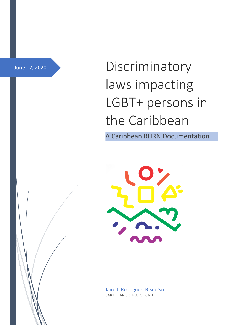June 12, 2020

Discriminatory laws impacting LGBT+ persons in the Caribbean

A Caribbean RHRN Documentation



Jairo J. Rodrigues, B.Soc.Sci CARIBBEAN SRHR ADVOCATE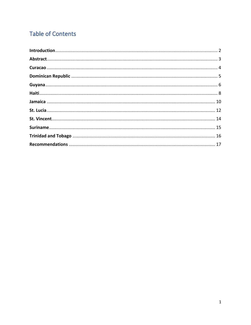# **Table of Contents**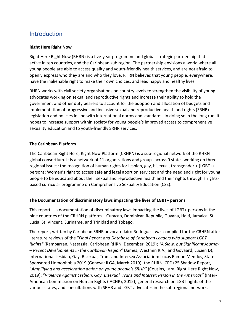# <span id="page-2-0"></span>Introduction

#### **Right Here Right Now**

Right Here Right Now (RHRN) is a five-year programme and global strategic partnership that is active in ten countries, and the Caribbean sub region. The partnership envisions a world where all young people are able to access quality and youth-friendly health services, and are not afraid to openly express who they are and who they love. RHRN believes that young people, everywhere, have the inalienable right to make their own choices, and lead happy and healthy lives.

RHRN works with civil society organisations on country levels to strengthen the visibility of young advocates working on sexual and reproductive rights and increase their ability to hold the government and other duty bearers to account for the adoption and allocation of budgets and implementation of progressive and inclusive sexual and reproductive health and rights (SRHR) legislation and policies in line with international norms and standards. In doing so in the long run, it hopes to increase support within society for young people's improved access to comprehensive sexuality education and to youth-friendly SRHR services.

#### **The Caribbean Platform**

The Caribbean Right Here, Right Now Platform (CRHRN) is a sub-regional network of the RHRN global consortium. It is a network of 11 organizations and groups across 9 states working on three regional issues: the recognition of human rights for lesbian, gay, bisexual, transgender + (LGBT+) persons; Women's right to access safe and legal abortion services; and the need and right for young people to be educated about their sexual and reproductive health and their rights through a rightsbased curricular programme on Comprehensive Sexuality Education (CSE).

#### **The Documentation of discriminatory laws impacting the lives of LGBT+ persons**

This report is a documentation of discriminatory laws impacting the lives of LGBT+ persons in the nine countries of the CRHRN platform – Curacao, Dominican Republic, Guyana, Haiti, Jamaica, St. Lucia, St. Vincent, Suriname, and Trinidad and Tobago.

The report, written by Caribbean SRHR advocate Jairo Rodrigues, was compiled for the CRHRN after literature reviews of the "*Final Report and Database of Caribbean Leaders who support LGBT Rights"* (Rambarran, Nastassia. Caribbean RHRN, December, 2019); *"A Slow, but Significant Journey – Recent Developments in the Caribbean Region"* (James, Westmin R.A., and Govaard, Luciën D), International Lesbian, Gay, Bisexual, Trans and Intersex Association: Lucas Ramon Mendos, State-Sponsored Homophobia 2019 (Geneva; ILGA, March 2019); the RHRN ICPD+25 Shadow Report, "*Amplifying and accelerating action on young people's SRHR"* (Cousins, Lara. Right Here Right Now, 2019); "*Violence Against Lesbian, Gay, Bisexual, Trans and Intersex Person in the Americas"* (Inter-American Commission on Human Rights (IACHR), 2015); general research on LGBT rights of the various states, and consultations with SRHR and LGBT advocates in the sub-regional network.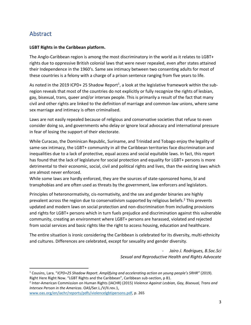# <span id="page-3-0"></span>Abstract

#### **LGBT Rights in the Caribbean platform.**

The Anglo-Caribbean region is among the most discriminatory in the world as it relates to LGBT+ rights due to oppressive British colonial laws that were never repealed, even after states attained their Independence in the 1960's. Same sex intimacy between two consenting adults for most of these countries is a felony with a charge of a prison sentence ranging from five years to life.

As noted in the 2019 ICPD+ 25 Shadow Report<sup>1</sup>, a look at the legislative framework within the subregion reveals that most of the countries do not explicitly or fully recognize the rights of lesbian, gay, bisexual, trans, queer and/or intersex people. This is primarily a result of the fact that many civil and other rights are linked to the definition of marriage and common-law unions, where same sex marriage and intimacy is often criminalised.

Laws are not easily repealed because of religious and conservative societies that refuse to even consider doing so, and governments who delay or ignore local advocacy and international pressure in fear of losing the support of their electorate.

While Curacao, the Dominican Republic, Suriname, and Trinidad and Tobago enjoy the legality of same-sex intimacy, the LGBT+ community in all the Caribbean territories face discrimination and inequalities due to a lack of protective, equal access and social equitable laws. In fact, this report has found that the lack of legislature for social protection and equality for LGBT+ persons is more detrimental to their economic, social, civil and political rights and lives, than the existing laws which are almost never enforced.

While some laws are hardly enforced, they are the sources of state-sponsored homo, bi and transphobias and are often used as threats by the government, law enforcers and legislators.

Principles of heteronormativity, cis-normativity, and the sex and gender binaries are highly prevalent across the region due to conservativism supported by religious beliefs.<sup>2</sup> This prevents updated and modern laws on social protection and non-discrimination from including provisions and rights for LGBT+ persons which in turn fuels prejudice and discrimination against this vulnerable community, creating an environment where LGBT+ persons are harassed, violated and rejected from social services and basic rights like the right to access housing, education and healthcare.

The entire situation is ironic considering the Caribbean is celebrated for its diversity, multi-ethnicity and cultures. Differences are celebrated, except for sexuality and gender diversity.

> - *Jairo J. Rodrigues, B.Soc.Sci Sexual and Reproductive Health and Rights Advocate*

2 Inter-American Commission on Human Rights (IACHR) (2015) *Violence Against Lesbian, Gay, Bisexual, Trans and Intersex Person in the Americas*. OAS/Ser.L./V/II.rev.1,

[www.oas.org/en/iachr/reports/pdfs/violencelgbtipersons.pdf,](http://www.oas.org/en/iachr/reports/pdfs/violencelgbtipersons.pdf) p. 265

<sup>1</sup> Cousins, Lara. "*ICPD+25 Shadow Report. Amplifying and accelerating action on young people's SRHR"* (2019)*.*  Right Here Right Now. "LGBT Rights and the Caribbean", Caribbean sub-section, p 81.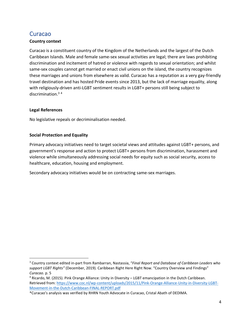# <span id="page-4-0"></span>Curacao

#### **Country context**

Curacao is a constituent country of the Kingdom of the Netherlands and the largest of the Dutch Caribbean Islands. Male and female same-sex sexual activities are legal; there are laws prohibiting discrimination and incitement of hatred or violence with regards to sexual orientation; and whilst same-sex couples cannot get married or enact civil unions on the island, the country recognizes these marriages and unions from elsewhere as valid. Curacao has a reputation as a very gay-friendly travel destination and has hosted Pride events since 2013, but the lack of marriage equality, along with religiously-driven anti-LGBT sentiment results in LGBT+ persons still being subject to discrimination.<sup>3</sup> <sup>4</sup>

#### **Legal References**

No legislative repeals or decriminalisation needed.

#### **Social Protection and Equality**

Primary advocacy initiatives need to target societal views and attitudes against LGBT+ persons, and government's response and action to protect LGBT+ persons from discrimination, harassment and violence while simultaneously addressing social needs for equity such as social security, access to healthcare, education, housing and employment.

Secondary advocacy initiatives would be on contracting same-sex marriages.

<sup>3</sup> Country context edited in-part from Rambarran, Nastassia, "*Final Report and Database of Caribbean Leaders who support LGBT Rights"* (December, 2019)*.* Caribbean Right Here Right Now. "Country Overview and Findings" *Curacao.* p. 5

<sup>4</sup> Ricardo, M. (2015). Pink Orange Alliance: Unity in Diversity – LGBT emancipation in the Dutch Caribbean. Retrieved from: [https://www.coc.nl/wp-content/uploads/2015/11/Pink-Orange-Alliance-Unity-in-Diversity-LGBT-](https://www.coc.nl/wp-content/uploads/2015/11/Pink-Orange-Alliance-Unity-in-Diversity-LGBT-Movement-in-the-Dutch-Caribbean-FINAL-REPORT.pdf)[Movement-in-the-Dutch-Caribbean-FINAL-REPORT.pdf](https://www.coc.nl/wp-content/uploads/2015/11/Pink-Orange-Alliance-Unity-in-Diversity-LGBT-Movement-in-the-Dutch-Caribbean-FINAL-REPORT.pdf)

<sup>\*</sup>Curacao's analysis was verified by RHRN Youth Advocate in Curacao, Cristal Abath of DEDIMA.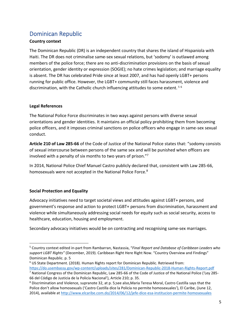# <span id="page-5-0"></span>Dominican Republic

#### **Country context**

The Dominican Republic (DR) is an independent country that shares the island of Hispaniola with Haiti. The DR does not criminalise same-sex sexual relations, but 'sodomy' is outlawed among members of the police force; there are no anti-discrimination provisions on the basis of sexual orientation, gender identity or expression (SOGIE); no hate crimes legislation; and marriage equality is absent. The DR has celebrated Pride since at least 2007, and has had openly LGBT+ persons running for public office. However, the LGBT+ community still faces harassment, violence and discrimination, with the Catholic church influencing attitudes to some extent. <sup>5</sup> <sup>6</sup>

#### **Legal References**

The National Police Force discriminates in two ways against persons with diverse sexual orientations and gender identities. It maintains an official policy prohibiting them from becoming police officers, and it imposes criminal sanctions on police officers who engage in same-sex sexual conduct.

**Article 210 of Law 285-66** of the Code of Justice of the National Police states that: "sodomy consists of sexual intercourse between persons of the same sex and will be punished when officers are involved with a penalty of six months to two years of prison."<sup>7</sup>

In 2014, National Police Chief Manuel Castro publicly declared that, consistent with Law 285-66, homosexuals were not accepted in the National Police Force.<sup>8</sup>

#### **Social Protection and Equality**

Advocacy initiatives need to target societal views and attitudes against LGBT+ persons, and government's response and action to protect LGBT+ persons from discrimination, harassment and violence while simultaneously addressing social needs for equity such as social security, access to healthcare, education, housing and employment.

Secondary advocacy initiatives would be on contracting and recognising same-sex marriages.

<sup>5</sup> Country context edited in-part from Rambarran, Nastassia, "*Final Report and Database of Caribbean Leaders who support LGBT Rights"* (December, 2019). Caribbean Right Here Right Now. "Country Overview and Findings" Dominican Republic. p. 5

<sup>6</sup> US State Department. (2018). Human Rights report for Dominican Republic. Retrieved from: <https://do.usembassy.gov/wp-content/uploads/sites/281/Dominican-Republic-2018-Human-Rights-Report.pdf>

<sup>7</sup> National Congress of the Dominican Republic, Law 285-66 of the Code of Justice of the National Police ('Ley 285- 66 del Código de Justicia de la Policía Nacional'), Article 210; p. 35.

<sup>8</sup> Discrimination and Violence, supranote 32, at p. 5;see also,Maria Teresa Moral, Castro Castilla says that the Police don't allow homosexuals ('Castro Castilla dice la Policía no permite homosexuales'), El Caribe, (June 12, 2014), available a[t http://www.elcaribe.com.do/2014/06/12/jefe-dice-esa-institucion-permite-homosexuales](http://www.elcaribe.com.do/2014/06/12/jefe-dice-esa-institucion-permite-homosexuales)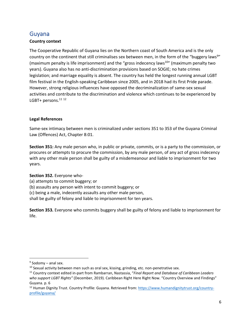### <span id="page-6-0"></span>Guyana

#### **Country context**

The Cooperative Republic of Guyana lies on the Northern coast of South America and is the only country on the continent that still criminalises sex between men, in the form of the "buggery laws $9"$ (maximum penalty is life imprisonment) and the "gross indecency laws<sup>10"</sup> (maximum penalty two years). Guyana also has no anti-discrimination provisions based on SOGIE; no hate crimes legislation; and marriage equality is absent. The country has held the longest running annual LGBT film festival in the English-speaking Caribbean since 2005, and in 2018 had its first Pride parade. However, strong religious influences have opposed the decriminalization of same-sex sexual activities and contribute to the discrimination and violence which continues to be experienced by LGBT+ persons.<sup>11 12</sup>

#### **Legal References**

Same-sex intimacy between men is criminalized under sections 351 to 353 of the Guyana Criminal Law (Offences) Act, Chapter 8:01.

**Section 351:** Any male person who, in public or private, commits, or is a party to the commission, or procures or attempts to procure the commission, by any male person, of any act of gross indecency with any other male person shall be guilty of a misdemeanour and liable to imprisonment for two years.

#### **Section 352.** Everyone who-

- (a) attempts to commit buggery; or
- (b) assaults any person with intent to commit buggery; or
- (c) being a male, indecently assaults any other male person,
- shall be guilty of felony and liable to imprisonment for ten years.

**Section 353.** Everyone who commits buggery shall be guilty of felony and liable to imprisonment for life.

<sup>&</sup>lt;sup>9</sup> Sodomy – anal sex.

<sup>&</sup>lt;sup>10</sup> Sexual activity between men such as oral sex, kissing, grinding, etc. non-penetrative sex.

<sup>11</sup> Country context edited in-part from Rambarran, Nastassia, "*Final Report and Database of Caribbean Leaders who support LGBT Rights"* (December, 2019). Caribbean Right Here Right Now. "Country Overview and Findings" Guyana. p. 6

<sup>&</sup>lt;sup>12</sup> Human Dignity Trust. Country Profile: Guyana. Retrieved from: [https://www.humandignitytrust.org/country](https://www.humandignitytrust.org/country-profile/guyana/)[profile/guyana/](https://www.humandignitytrust.org/country-profile/guyana/)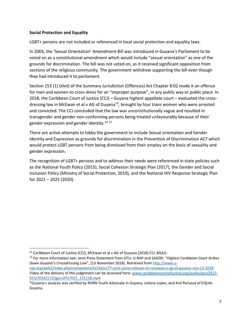#### **Social Protection and Equality**

LGBT+ persons are not included or referenced in local social protection and equality laws.

In 2003, the 'Sexual Orientation' Amendment Bill was introduced in Guyana's Parliament to be voted on as a constitutional amendment which would include "sexual orientation" as one of the grounds for discrimination. The bill was not voted on, as it received significant opposition from sections of the religious community. The government withdrew supporting the bill even though they had introduced it to parliament.

Section 153 (1) (xlvii) of the Summary Jurisdiction (Offences) Act Chapter 8:02 made it an offence for men and women to cross-dress for an "improper purpose", in any public way or public place. In 2018, the Caribbean Court of Justice (CCJ) – Guyana highest appellate court – evaluated the crossdressing law in McEwan et al v AG of Guyana<sup>13</sup>, brought by four trans women who were arrested and convicted. The CCJ concluded that the law was unconstitutionally vague and resulted in transgender and gender non-conforming persons being treated unfavourably because of their gender expression and gender identity.<sup>14</sup> <sup>15</sup>

There are active attempts to lobby the government to include Sexual orientation and Gender Identity and Expression as grounds for discrimination in the Prevention of Discrimination ACT which would protect LGBT persons from being dismissed from their employ on the basis of sexuality and gender expression.

The recognition of LGBT+ persons and to address their needs were referenced in state policies such as the National Youth Policy (2015), Social Cohesion Strategic Plan (2017), the Gender and Social Inclusion Policy (Ministry of Social Protection, 2019), and the National HIV Response Strategic Plan for 2021 – 2025 (2020).

<sup>&</sup>lt;sup>13</sup> Caribbean Court of Justice (CCJ), McEwan et al v AG of Guyana [2018] CCJ 30(AJ).

<sup>14</sup> For more information see: Joint Press Statement from GTU, U-RAP and SASOD: "*Highest Caribbean Court Strikes Down Guyana's Crossdressing Law*", (13 November 2018). Retrieved from [http://www.u](http://www.u-rap.org/web2/index.php/component/k2/item/77-joint-press-release-on-mcewan-v-ag-of-guyana-nov-13-2018)[rap.org/web2/index.php/component/k2/item/77-joint-press-release-on-mcewan-v-ag-of-guyana-nov-13-2018](http://www.u-rap.org/web2/index.php/component/k2/item/77-joint-press-release-on-mcewan-v-ag-of-guyana-nov-13-2018) Video of the delivery of the judgement can be accessed here: [www.caribbeancourtofjustice.org/audio/gycv2017-](http://www.caribbeancourtofjustice.org/audio/gycv2017-015/20181113/gycv2017015_131118.mp4) [015/20181113/gycv2017015\\_131118.mp4](http://www.caribbeancourtofjustice.org/audio/gycv2017-015/20181113/gycv2017015_131118.mp4)

<sup>\*</sup>Guyana's analysis was verified by RHRN Youth Advocate in Guyana, Juliana Lopes; and Anil Persaud of EQUAL Guyana.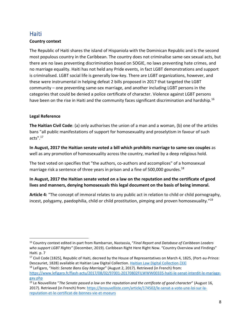### <span id="page-8-0"></span>**Haiti**

#### **Country context**

The Republic of Haiti shares the island of Hispaniola with the Dominican Republic and is the second most populous country in the Caribbean. The country does not criminalise same-sex sexual acts, but there are no laws preventing discrimination based on SOGIE, no laws preventing hate crimes, and no marriage equality. Haiti has not held any Pride events, in fact LGBT demonstrations and support is criminalised. LGBT social life is generally low-key. There are LGBT organizations, however, and these were instrumental in helping defeat 2 bills proposed in 2017 that targeted the LGBT community – one preventing same-sex marriage, and another including LGBT persons in the categories that could be denied a police certificate of character. Violence against LGBT persons have been on the rise in Haiti and the community faces significant discrimination and hardship.<sup>16</sup>

#### **Legal Reference**

**The Haitian Civil Code**: (a) only authorises the union of a man and a woman, (b) one of the articles bans "all public manifestations of support for homosexuality and proselytism in favour of such acts".<sup>17</sup>

**In August, 2017 the Haitian senate voted a bill which prohibits marriage to same-sex couples** as well as any promotion of homosexuality across the country, marked by a deep religious hold.

The text voted on specifies that "the authors, co-authors and accomplices" of a homosexual marriage risk a sentence of three years in prison and a fine of 500,000 gourdes.<sup>18</sup>

#### **In August, 2017 the Haitian senate voted on a law on the reputation and the certificate of good lives and manners, denying homosexuals this legal document on the basis of being immoral.**

**Article 4:** "The concept of immoral relates to any public act in relation to child or child pornography, incest, polygamy, paedophilia, child or child prostitution, pimping and proven homosexuality."<sup>19</sup>

<sup>16</sup> Country context edited in-part from Rambarran, Nastassia, "*Final Report and Database of Caribbean Leaders who support LGBT Rights"* (December, 2019). Caribbean Right Here Right Now. "Country Overview and Findings" Haiti. p. 7

<sup>&</sup>lt;sup>17</sup> Civil Code [1825], Republic of Haiti, decreed by the House of Representatives on March 4, 1825, (Port-au-Prince: Descauriet, 1828) available at Haitian Law Digital Collection[. Haitian Law Digital Collection](http://www.dloc.com/dlohlaw)[.\[33\]](https://www.nyulawglobal.org/globalex/Haiti1.html#_edn33)

<sup>18</sup> LeFigaro, "*Haiti: Senate Bans Gay Marriage*" (August 2, 2017). Retrieved (in French) from: [https://www.lefigaro.fr/flash-actu/2017/08/02/97001-20170802FILWWW00335-haiti-le-senat-interdit-le-mariage](https://www.lefigaro.fr/flash-actu/2017/08/02/97001-20170802FILWWW00335-haiti-le-senat-interdit-le-mariage-gay.php)[gay.php](https://www.lefigaro.fr/flash-actu/2017/08/02/97001-20170802FILWWW00335-haiti-le-senat-interdit-le-mariage-gay.php)

<sup>19</sup> Le Nouvelliste "*The Senate passed a law on the reputation and the certificate of good character*" (August 16, 2017). Retrieved (in French) from: [https://lenouvelliste.com/article/174502/le-senat-a-vote-une-loi-sur-la](https://lenouvelliste.com/article/174502/le-senat-a-vote-une-loi-sur-la-reputation-et-le-certificat-de-bonnes-vie-et-moeurs)[reputation-et-le-certificat-de-bonnes-vie-et-moeurs](https://lenouvelliste.com/article/174502/le-senat-a-vote-une-loi-sur-la-reputation-et-le-certificat-de-bonnes-vie-et-moeurs)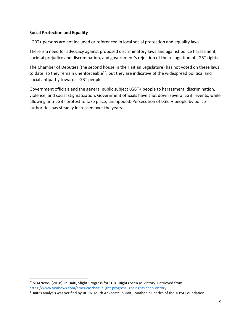#### **Social Protection and Equality**

LGBT+ persons are not included or referenced in local social protection and equality laws.

There is a need for advocacy against proposed discriminatory laws and against police harassment, societal prejudice and discrimination, and government's rejection of the recognition of LGBT rights.

The Chamber of Deputies (the second house in the Haitian Legislature) has not voted on these laws to date, so they remain unenforceable<sup>20</sup>, but they are indicative of the widespread political and social antipathy towards LGBT people.

Government officials and the general public subject LGBT+ people to harassment, discrimination, violence, and social stigmatization. Government officials have shut down several LGBT events, while allowing anti-LGBT protest to take place, unimpeded. Persecution of LGBT+ people by police authorities has steadily increased over the years.

<sup>&</sup>lt;sup>20</sup> VOANews. (2018). In Haiti, Slight Progress for LGBT Rights Seen as Victory. Retrieved from: <https://www.voanews.com/americas/haiti-slight-progress-lgbt-rights-seen-victory>

<sup>\*</sup>Haiti's analysis was verified by RHRN Youth Advocate in Haiti, Mathania Charles of the TOYA Foundation.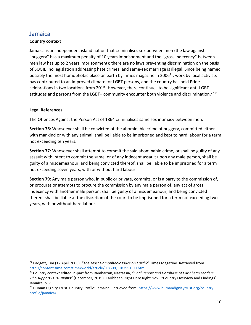### <span id="page-10-0"></span>Jamaica

#### **Country context**

Jamaica is an independent island nation that criminalises sex between men (the law against "buggery" has a maximum penalty of 10 years imprisonment and the "gross indecency" between men law has up to 2 years imprisonment); there are no laws preventing discrimination on the basis of SOGIE; no legislation addressing hate crimes; and same-sex marriage is illegal. Since being named possibly the most homophobic place on earth by Times magazine in 2006 $^{21}$ , work by local activists has contributed to an improved climate for LGBT persons, and the country has held Pride celebrations in two locations from 2015. However, there continues to be significant anti-LGBT attitudes and persons from the LGBT+ community encounter both violence and discrimination.<sup>22</sup>  $^{23}$ 

#### **Legal References**

The Offences Against the Person Act of 1864 criminalises same sex intimacy between men.

**Section 76:** Whosoever shall be convicted of the abominable crime of buggery, committed either with mankind or with any animal, shall be liable to be imprisoned and kept to hard labour for a term not exceeding ten years.

**Section 77:** Whosoever shall attempt to commit the said abominable crime, or shall be guilty of any assault with intent to commit the same, or of any indecent assault upon any male person, shall be guilty of a misdemeanour, and being convicted thereof, shall be liable to be imprisoned for a term not exceeding seven years, with or without hard labour.

**Section 79:** Any male person who, in public or private, commits, or is a party to the commission of, or procures or attempts to procure the commission by any male person of, any act of gross indecency with another male person, shall be guilty of a misdemeanour, and being convicted thereof shall be liable at the discretion of the court to be imprisoned for a term not exceeding two years, with or without hard labour.

*<sup>21</sup>* Padgett, Tim (12 April 2006). *"The Most Homophobic Place on Earth?"* Times Magazine. Retrieved from <http://content.time.com/time/world/article/0,8599,1182991,00.html>

<sup>22</sup> Country context edited in-part from Rambarran, Nastassia, *"Final Report and Database of Caribbean Leaders who support LGBT Rights"* (December, 2019). Caribbean Right Here Right Now. "Country Overview and Findings" Jamaica. p. 7

<sup>&</sup>lt;sup>23</sup> Human Dignity Trust. Country Profile: Jamaica. Retrieved from: [https://www.humandignitytrust.org/country](https://www.humandignitytrust.org/country-profile/jamaica/)[profile/jamaica/](https://www.humandignitytrust.org/country-profile/jamaica/)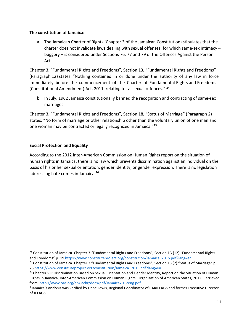#### **The constitution of Jamaica:**

a. The Jamaican Charter of Rights (Chapter 3 of the Jamaican Constitution) stipulates that the charter does not invalidate laws dealing with sexual offenses, for which same-sex intimacy – buggery – is considered under Sections 76, 77 and 79 of the Offences Against the Person Act.

Chapter 3, "Fundamental Rights and Freedoms", Section 13, "Fundamental Rights and Freedoms" (Paragraph 12) states: "Nothing contained in or done under the authority of any law in force immediately before the commencement of the Charter of Fundamental Rights and Freedoms (Constitutional Amendment) Act, 2011, relating to- a. sexual offences." <sup>24</sup>

b. In July, 1962 Jamaica constitutionally banned the recognition and contracting of same-sex marriages.

Chapter 3, "Fundamental Rights and Freedoms", Section 18, "Status of Marriage" (Paragraph 2) states: "No form of marriage or other relationship other than the voluntary union of one man and one woman may be contracted or legally recognized in Jamaica."<sup>25</sup>

#### **Social Protection and Equality**

According to the 2012 Inter-American Commission on Human Rights report on the situation of human rights in Jamaica, there is no law which prevents discrimination against an individual on the basis of his or her sexual orientation, gender identity, or gender expression. There is no legislation addressing hate crimes in Jamaica.<sup>26</sup>

<sup>&</sup>lt;sup>24</sup> Constitution of Jamaica. Chapter 3 "Fundamental Rights and Freedoms", Section 13 (12) "Fundamental Rights and Freedoms" p. 19 [https://www.constituteproject.org/constitution/Jamaica\\_2015.pdf?lang=en](https://www.constituteproject.org/constitution/Jamaica_2015.pdf?lang=en) <sup>25</sup> Constitution of Jamaica. Chapter 3 "Fundamental Rights and Freedoms", Section 18 (2) "Status of Marriage" p. 2[6 https://www.constituteproject.org/constitution/Jamaica\\_2015.pdf?lang=en](https://www.constituteproject.org/constitution/Jamaica_2015.pdf?lang=en)

<sup>&</sup>lt;sup>26</sup> Chapter VII: Discrimination Based on Sexual Orientation and Gender Identity, Report on the Situation of Human Rights in Jamaica, Inter-American Commission on Human Rights, Organization of American States, 2012. Retrieved from[: http://www.oas.org/en/iachr/docs/pdf/Jamaica2012eng.pdf](http://www.oas.org/en/iachr/docs/pdf/Jamaica2012eng.pdf)

<sup>\*</sup>Jamaica's analysis was verified by Dane Lewis, Regional Coordinator of CARIFLAGS and former Executive Director of JFLAGS.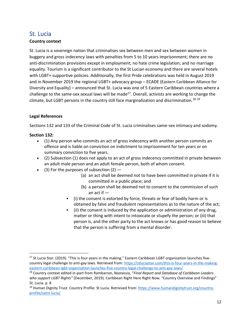### <span id="page-12-0"></span>St. Lucia

#### **Country context**

St. Lucia is a sovereign nation that criminalises sex between men and sex between women in buggery and gross indecency laws with penalties from 5 to 10 years imprisonment; there are no anti-discrimination provisions except in employment; no hate crime legislation; and no marriage equality. Tourism is a significant contributor to the St Lucian economy and there are several hotels with LGBT+ supportive policies. Additionally, the first Pride celebrations was held in August 2019 and in November 2019 the regional LGBT+ advocacy group – ECADE (Eastern Caribbean Alliance for Diversity and Equality) – announced that St. Lucia was one of 5 Eastern Caribbean countries where a challenge to the same-sex sexual laws will be made<sup>27</sup>. Overall, activists are working to change the climate, but LGBT persons in the country still face marginalization and discrimination.<sup>28</sup>  $29$ 

#### **Legal References**

Sections 132 and 133 of the Criminal Code of St. Lucia criminalises same-sex intimacy and sodomy.

#### **Section 132:**

- (1) Any person who commits an act of gross indecency with another person commits an offence and is liable on conviction on indictment to imprisonment for ten years or on summary conviction to five years.
- (2) Subsection (1) does not apply to an act of gross indecency committed in private between an adult male person and an adult female person, both of whom consent.
- (3) For the purposes of subsection  $(2)$ 
	- (a) an act shall be deemed not to have been committed in private if it is committed in a public place; and
	- (b) a person shall be deemed not to consent to the commission of such an act if  $-$
	- (i) the consent is extorted by force, threats or fear of bodily harm or is obtained by false and fraudulent representations as to the nature of the act;
	- (ii) the consent is induced by the application or administration of any drug, matter or thing with intent to intoxicate or stupefy the person; or (iii) that person is, and the other party to the act knows or has good reason to believe that the person is suffering from a mental disorder.

<sup>&</sup>lt;sup>27</sup> St Lucia Star. (2019). "This is four years in the making." Eastern Caribbean LGBT organisation launches fivecountry legal challenge to anti-gay laws. Retrieved from: [https://stluciastar.com/this-is-four-years-in-the-making](https://stluciastar.com/this-is-four-years-in-the-making-eastern-caribbean-lgbt-organisation-launches-five-country-legal-challenge-to-anti-gay-laws/)[eastern-caribbean-lgbt-organisation-launches-five-country-legal-challenge-to-anti-gay-laws/](https://stluciastar.com/this-is-four-years-in-the-making-eastern-caribbean-lgbt-organisation-launches-five-country-legal-challenge-to-anti-gay-laws/)

<sup>28</sup> Country context edited in-part from Rambarran, Nastassia, "*Final Report and Database of Caribbean Leaders who support LGBT Rights"* (December, 2019). Caribbean Right Here Right Now. "Country Overview and Findings" St. Lucia. p. 8

<sup>&</sup>lt;sup>29</sup> Human Dignity Trust. Country Profile: St Lucia. Retrieved from: [https://www.humandignitytrust.org/country](https://www.humandignitytrust.org/country-profile/saint-lucia/)[profile/saint-lucia/](https://www.humandignitytrust.org/country-profile/saint-lucia/)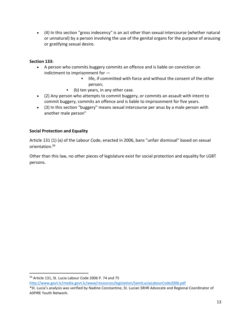• (4) In this section "gross indecency" is an act other than sexual intercourse (whether natural or unnatural) by a person involving the use of the genital organs for the purpose of arousing or gratifying sexual desire.

#### **Section 133:**

- A person who commits buggery commits an offence and is liable on conviction on indictment to imprisonment for —
	- **.** life, if committed with force and without the consent of the other person;
	- (b) ten years, in any other case.
- (2) Any person who attempts to commit buggery, or commits an assault with intent to commit buggery, commits an offence and is liable to imprisonment for five years.
- (3) In this section "buggery" means sexual intercourse per anus by a male person with another male person"

#### **Social Protection and Equality**

Article 131 (1) (a) of the Labour Code, enacted in 2006, bans "unfair dismissal" based on sexual orientation.<sup>30</sup>

Other than this law, no other pieces of legislature exist for social protection and equality for LGBT persons.

<sup>30</sup> Article 131, St. Lucia Labour Code 2006 P. 74 and 75

<http://www.govt.lc/media.govt.lc/www/resources/legislation/SaintLuciaLabourCode2006.pdf>

<sup>\*</sup>St. Lucia's analysis was verified by Nadine Constantine, St. Lucian SRHR Advocate and Regional Coordinator of ASPIRE Youth Network.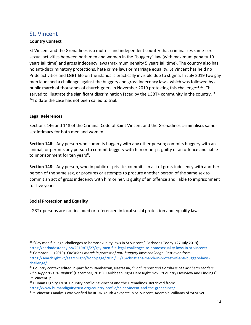### <span id="page-14-0"></span>St. Vincent

#### **Country Context**

St Vincent and the Grenadines is a multi-island independent country that criminalizes same-sex sexual activities between both men and women in the "buggery" law (with maximum penalty 10 years jail time) and gross indecency laws (maximum penalty 5 years jail time). The country also has no anti-discriminatory protections, hate crime laws or marriage equality. St Vincent has held no Pride activities and LGBT life on the islands is practically invisible due to stigma. In July 2019 two gay men launched a challenge against the buggery and gross indecency laws, which was followed by a public march of thousands of church-goers in November 2019 protesting this challenge<sup>31 32</sup>. This served to illustrate the significant discrimination faced by the LGBT+ community in the country.<sup>33</sup>  $34$ To date the case has not been called to trial.

#### **Legal References**

Sections 146 and 148 of the Criminal Code of Saint Vincent and the Grenadines criminalises samesex intimacy for both men and women.

**Section 146**: "Any person who commits buggery with any other person; commits buggery with an animal; or permits any person to commit buggery with him or her; is guilty of an offence and liable to imprisonment for ten years".

**Section 148**: "Any person, who in public or private, commits an act of gross indecency with another person of the same sex, or procures or attempts to procure another person of the same sex to commit an act of gross indecency with him or her, is guilty of an offence and liable to imprisonment for five years."

#### **Social Protection and Equality**

LGBT+ persons are not included or referenced in local social protection and equality laws.

 $31$  "Gay men file legal challenges to homosexuality laws in St Vincent," Barbados Today. (27 July 2019). <https://barbadostoday.bb/2019/07/27/gay-men-file-legal-challenges-to-homosexuality-laws-in-st-vincent/> <sup>32</sup> Compton, L. (2019). *Christians march in protest of anti-buggery laws challenge*. Retrieved from:

[https://searchlight.vc/searchlight/front-page/2019/11/15/christians-march-in-protest-of-anti-buggery-laws](https://searchlight.vc/searchlight/front-page/2019/11/15/christians-march-in-protest-of-anti-buggery-laws-challenge/)[challenge/](https://searchlight.vc/searchlight/front-page/2019/11/15/christians-march-in-protest-of-anti-buggery-laws-challenge/)

<sup>33</sup> Country context edited in-part from Rambarran, Nastassia, *"Final Report and Database of Caribbean Leaders who support LGBT Rights"* (December, 2019)*.* Caribbean Right Here Right Now. "Country Overview and Findings" St. Vincent. p. 9

<sup>&</sup>lt;sup>34</sup> Human Dignity Trust. Country profile: St Vincent and the Grenadines. Retrieved from: <https://www.humandignitytrust.org/country-profile/saint-vincent-and-the-grenadines/>

<sup>\*</sup>St. Vincent's analysis was verified by RHRN Youth Advocate in St. Vincent, Ademola Williams of YAM SVG.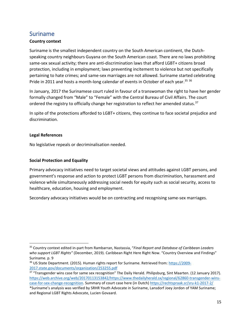### <span id="page-15-0"></span>Suriname

#### **Country context**

Suriname is the smallest independent country on the South American continent, the Dutchspeaking country neighbours Guyana on the South American coast. There are no laws prohibiting same-sex sexual activity; there are anti-discrimination laws that afford LGBT+ citizens broad protection, including in employment; laws preventing incitement to violence but not specifically pertaining to hate crimes; and same-sex marriages are not allowed. Suriname started celebrating Pride in 2011 and hosts a month-long calendar of events in October of each year.<sup>35 36</sup>

In January, 2017 the Surinamese court ruled in favour of a transwoman the right to have her gender formally changed from "Male" to "Female" with the Central Bureau of Civil Affairs. The court ordered the registry to officially change her registration to reflect her amended status.<sup>37</sup>

In spite of the protections afforded to LGBT+ citizens, they continue to face societal prejudice and discrimination.

#### **Legal References**

No legislative repeals or decriminalisation needed.

#### **Social Protection and Equality**

Primary advocacy initiatives need to target societal views and attitudes against LGBT persons, and government's response and action to protect LGBT persons from discrimination, harassment and violence while simultaneously addressing social needs for equity such as social security, access to healthcare, education, housing and employment.

Secondary advocacy initiatives would be on contracting and recognising same-sex marriages.

<sup>35</sup> Country context edited in-part from Rambarran, Nastassia, "*Final Report and Database of Caribbean Leaders who support LGBT Rights"* (December, 2019). Caribbean Right Here Right Now. "Country Overview and Findings" Suriname. p. 9

<sup>36</sup> US State Department. (2015). Human rights report for Suriname. Retrieved from: [https://2009-](https://2009-2017.state.gov/documents/organization/253255.pdf) [2017.state.gov/documents/organization/253255.pdf](https://2009-2017.state.gov/documents/organization/253255.pdf)

<sup>37</sup> "Transgender wins case for same sex recognition" The Daily Herald*.* Philipsburg, Sint Maarten. (12 January 2017). [https://web.archive.org/web/20170113153842/https://www.thedailyherald.sx/regional/62860-transgender-wins](https://web.archive.org/web/20170113153842/https:/www.thedailyherald.sx/regional/62860-transgender-wins-case-for-sex-change-recognition)[case-for-sex-change-recognition.](https://web.archive.org/web/20170113153842/https:/www.thedailyherald.sx/regional/62860-transgender-wins-case-for-sex-change-recognition) Summary of court case here (in Dutch[\) https://rechtspraak.sr/sru-k1-2017-2/](https://rechtspraak.sr/sru-k1-2017-2/) 

<sup>\*</sup>Suriname's analysis was verified by SRHR Youth Advocate in Suriname, Lansdorf Joey Jordon of YAM Suriname; and Regional LGBT Rights Advocate, Lucien Govaard.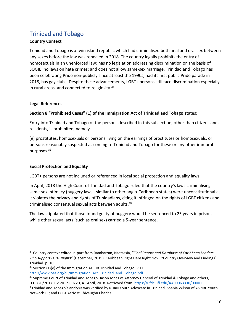# <span id="page-16-0"></span>Trinidad and Tobago

#### **Country Context**

Trinidad and Tobago is a twin island republic which had criminalised both anal and oral sex between any sexes before the law was repealed in 2018. The country legally prohibits the entry of homosexuals in an unenforced law; has no legislation addressing discrimination on the basis of SOGIE; no laws on hate crimes; and does not allow same-sex marriage. Trinidad and Tobago has been celebrating Pride non-publicly since at least the 1990s, had its first public Pride parade in 2018, has gay clubs. Despite these advancements, LGBT+ persons still face discrimination especially in rural areas, and connected to religiosity. $38$ 

#### **Legal References**

#### **Section 8 "Prohibited Cases" (1) of the Immigration Act of Trinidad and Tobago** states:

Entry into Trinidad and Tobago of the persons described in this subsection, other than citizens and, residents, is prohibited, namely –

(e) prostitutes, homosexuals or persons living on the earnings of prostitutes or homosexuals, or persons reasonably suspected as coming to Trinidad and Tobago for these or any other immoral purposes.<sup>39</sup>

#### **Social Protection and Equality**

LGBT+ persons are not included or referenced in local social protection and equality laws.

In April, 2018 the High Court of Trinidad and Tobago ruled that the country's laws criminalising same-sex intimacy (buggery laws - similar to other anglo-Caribbean states) were unconstitutional as it violates the privacy and rights of Trinidadians, citing it infringed on the rights of LGBT citizens and criminalised consensual sexual acts between adults.<sup>40</sup>

The law stipulated that those found guilty of buggery would be sentenced to 25 years in prison, while other sexual acts (such as oral sex) carried a 5-year sentence.

<sup>38</sup> Country context edited in-part from Rambarran, Nastassia, "*Final Report and Database of Caribbean Leaders who support LGBT Rights"* (December, 2019). Caribbean Right Here Right Now. "Country Overview and Findings" Trinidad. p. 10

 $39$  Section (1)(e) of the Immigration ACT of Trinidad and Tobago. P 11. [http://www.oas.org/dil/Immigration\\_Act\\_Trinidad\\_and\\_Tobago.pdf](http://www.oas.org/dil/Immigration_Act_Trinidad_and_Tobago.pdf)

<sup>&</sup>lt;sup>40</sup> Supreme Court of Trinidad and Tobago, Jason Jones vs Attorney General of Trinidad & Tobago and others, H.C.720/2017. CV.2017-00720, 4<sup>th</sup> April, 2018. Retrieved from: <u>https://ufdc.ufl.edu/AA00063330/00001</u>

<sup>\*</sup>Trinidad and Tobago's analysis was verified by RHRN Youth Advocate in Trinidad, Shania Wilson of ASPIRE Youth Network TT; and LGBT Activist Chivaughn Charles.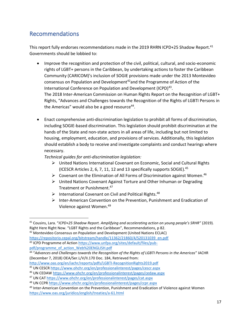# <span id="page-17-0"></span>Recommendations

This report fully endorses recommendations made in the 2019 RHRN ICPD+25 Shadow Report.<sup>41</sup> Governments should be lobbied to:

- Improve the recognition and protection of the civil, political, cultural, and socio-economic rights of LGBT+ persons in the Caribbean, by undertaking actions to foster the Caribbean Community (CARICOM)'s inclusion of SOGIE provisions made under the 2013 Montevideo consensus on Population and Development<sup>42</sup>and the Programme of Action of the International Conference on Population and Development (ICPD)<sup>43</sup>. The 2018 Inter-American Commission on Human Rights Report on the Recognition of LGBT+ Rights, "Advances and Challenges towards the Recognition of the Rights of LGBTI Persons in the Americas" would also be a good resource<sup>44</sup>.
- Enact comprehensive anti-discrimination legislation to prohibit all forms of discrimination, including SOGIE-based discrimination. This legislation should prohibit discrimination at the hands of the State and non-state actors in all areas of life, including but not limited to housing, employment, education, and provisions of services. Additionally, this legislation should establish a body to receive and investigate complaints and conduct hearings where necessary.

*Technical guides for anti-discrimination legislation:* 

- ➢ United Nations International Covenant on Economic, Social and Cultural Rights (ICESCR Articles 2, 6, 7, 11, 12 and 13 specifically supports SOGIE).<sup>45</sup>
- $\triangleright$  Covenant on the Elimination of All Forms of Discrimination against Women.<sup>46</sup>
- ➢ United Nations Covenant Against Torture and Other Inhuman or Degrading Treatment or Punishment.<sup>47</sup>
- ➢ International Covenant on Civil and Political Rights. 48
- ➢ Inter-American Convention on the Prevention, Punishment and Eradication of Violence against Women.<sup>49</sup>

```
<sup>42</sup> Montevideo Consensus on Population and Development (United Nations ECLAC)
```
[https://repositorio.cepal.org/bitstream/handle/11362/21860/4/S20131039\\_en.pdf](https://repositorio.cepal.org/bitstream/handle/11362/21860/4/S20131039_en.pdf) <sup>43</sup> ICPD Programme of Action [https://www.unfpa.org/sites/default/files/pub](https://www.unfpa.org/sites/default/files/pub-pdf/programme_of_action_Web%20ENGLISH.pdf)[pdf/programme\\_of\\_action\\_Web%20ENGLISH.pdf](https://www.unfpa.org/sites/default/files/pub-pdf/programme_of_action_Web%20ENGLISH.pdf)

<sup>41</sup> Cousins, Lara. "*ICPD+25 Shadow Report. Amplifying and accelerating action on young people's SRHR"* (2019)*.*  Right Here Right Now. "LGBT Rights and the Caribbean", Recommendations, p 82.

<sup>44</sup> "*Advances and Challenges towards the Recognition of the Rights of LGBTI Persons in the Americas*" IACHR (December 7, 2018) OEA/Ser.L/V/II.170 Doc. 184, Retrieved from:

<http://www.oas.org/en/iachr/reports/pdfs/LGBTI-RecognitionRights2019.pdf>

<sup>45</sup> UN CESCR<https://www.ohchr.org/en/professionalinterest/pages/cescr.aspx>

<sup>46</sup> UN CEDAW<https://www.ohchr.org/en/professionalinterest/pages/cedaw.aspx>

<sup>47</sup> UN CAT<https://www.ohchr.org/en/professionalinterest/pages/cat.aspx>

<sup>48</sup> UN CCP[R https://www.ohchr.org/en/professionalinterest/pages/ccpr.aspx](https://www.ohchr.org/en/professionalinterest/pages/ccpr.aspx)

<sup>&</sup>lt;sup>49</sup> Inter-American Convention on the Prevention, Punishment and Eradication of Violence against Women <https://www.oas.org/juridico/english/treaties/a-61.html>